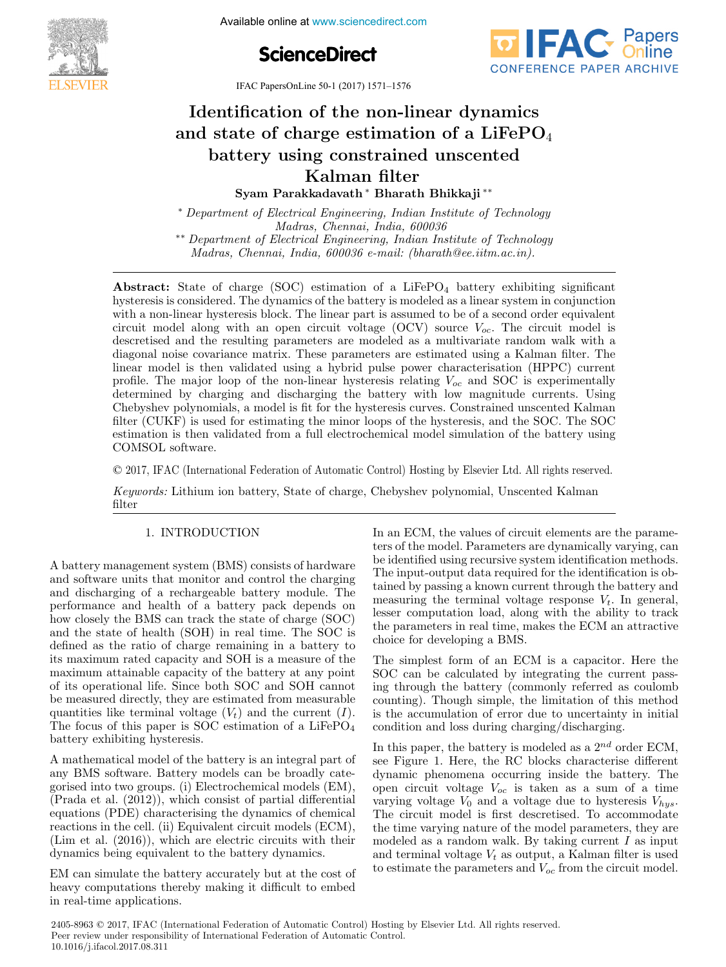Available online at www.sciencedirect.com **The International Federation of Automatic Control**





IFAC PapersOnLine 50-1 (2017) 1571-1576

# Identification of the non-linear dynamics and state of charge estimation of a LiFePO<sub>4</sub> battery using constrained unscented Kalman filter Kalman filter ∗Identification of the non-linear dynamics Identification of the non-linear dynamics

Syam Parakkadavath ∗ Bharath Bhikkaji ∗∗ Syam Parakkadavath ∗ Bharath Bhikkaji ∗∗ Syam Parakkadavath ∗ Bharath Bhikkaji ∗∗

∗ Department of Electrical Engineering, Indian Institute of Technology Madras, Chennai, India, 600036 ∗ Department of Electrical Engineering, Indian Institute of Technology \*\* Department of Electrical Engineering, Indian Institute of Technology ∗ Department of Electrical Engineering, Indian Institute of Technology

∗∗ Department of Electrical Engineering, Indian Institute of Technology Madras, Chennai, India, 600036 e-mail: (bharath@ee.iitm.ac.in). ∗∗ Department of Electrical Engineering, Indian Institute of Technology  $\mathcal{L}(\mathcal{L}(\mathcal{L}(\mathcal{L}(\mathcal{L}(\mathcal{L}(\mathcal{L}(\mathcal{L}(\mathcal{L}(\mathcal{L}(\mathcal{L}(\mathcal{L}(\mathcal{L}(\mathcal{L}(\mathcal{L}(\mathcal{L}(\mathcal{L}(\mathcal{L}(\mathcal{L}(\mathcal{L}(\mathcal{L}(\mathcal{L}(\mathcal{L}(\mathcal{L}(\mathcal{L}(\mathcal{L}(\mathcal{L}(\mathcal{L}(\mathcal{L}(\mathcal{L}(\mathcal{L}(\mathcal{L}(\mathcal{L}(\mathcal{L}(\mathcal{L}(\mathcal{L}(\mathcal{$ Madras, Chennai, India, 600036 e-mail: (bharath@ee.iitm.ac.in).  $\emph{ai. India. 600036 e-mail: (bharat) }$  $\frac{1}{2}$  Department of Electrical Engineering, Institute of Technology Institute of Technology Institute of Technology

hysteresis is considered. The dynamics of the battery is modeled as a linear system in conjunction with a non-linear hysteresis block. The linear part is assumed to be of a second order equivalent circuit model along with an open circuit voltage  $(OCV)$  source  $V_{oc}$ . The circuit model is descretised and the resulting parameters are modeled as a multivariate random walk with a diagonal noise covariance matrix. These parameters are estimated using a Kalman filter. The linear model is then validated using a hybrid pulse power characterisation (HPPC) current profile. The major loop of the non-linear hysteresis relating  $V_{oc}$  and SOC is experimentally determined by charging and discharging the battery with low magnitude currents. Using Chebyshev polynomials, a model is fit for the hysteresis curves. Constrained unscented Kalman filter (CUKF) is used for estimating the minor loops of the hysteresis, and the SOC. The SOC estimation is then validated from a full electrochemical model simulation of the battery using COMSOL software. Abstract: State of charge (SOC) estimation of a LiFePO<sub>4</sub> battery exhibiting significant COMSOL software. Madras, Chennai, India, 600036 e-mail: (bharath@ee.iitm.ac.in).

© 2017, IFAC (International Federation of Automatic Control) Hosting by Elsevier Ltd. All rights reserved. © 2017, IFAC (International Federation of Automatic Control) Hosting by Elsevier Ltd. All rights reserv

Keywords: Lithium ion battery, State of charge, Chebyshev polynomial, Unscented Kalman filter filter Keywords: Lithium ion battery, State of charge, Chebyshev polynomial, Unscented Kalman  $\frac{\text{moc}}{\ }$ 

#### 1. INTRODUCTION 1. INTRODUCTION 1. International control of the control of the control of the control of the control of the control of the con 1. INTRODUCTION

A battery management system (BMS) consists of hardware A battery management system (BMS) consists of hardware<br>and software units that monitor and control the charging and software units that monitor and control the charging<br>and discharging of a rechargeable battery module. The and discharging of a rechargeable battery module. The performance and health of a battery pack depends on performance and freature of a battery pack depends on<br>how closely the BMS can track the state of charge  $(SOC)$  $\mu$ and the state of health (SOH) in real time. The SOC is defined as the ratio of charge remaining in a battery to defined as the ratio of charge remaining in a battery to<br>its maximum rated capacity and SOH is a measure of the its maximum rated capacity and SOH is a measure of the maximum attainable capacity of the battery at any point maximum attainable capacity of the battery at any point of its operational life. Since both SOC and SOH cannot be measured directly, they are estimated from measurable be measured uncerty, they are estimated from measurable<br>quantities like terminal voltage  $(V_t)$  and the current  $(I)$ . quantities like terminal voltage ( $vt$ ) and the current (*I*).<br>The focus of this paper is SOC estimation of a LiFePO<sub>4</sub> battery exhibiting hysteresis. The focus of this paper is SOC estimation of a LiFerO<sub>4</sub><br>hattery exhibiting hysteresis battery exhibiting hysteresis.

A mathematical model of the battery is an integral part of A mathematical model of the battery is an integral part of any BMS software. Battery models can be broadly cateany BMB software. Battery models can be broadly eate-<br>gorised into two groups. (i) Electrochemical models (EM), gorised into two groups. (1) Electrochemical models  $(EM)$ ,  $(Prada et al. (2012))$ , which consist of partial differential  $(3.14)$  Equivalent consists of partial differential equations (PDE) characterising the dynamics of chemical reactions in the cell. (ii) Equivalent circuit models (ECM), (Lim et al.  $(2016)$ ), which are electric circuits with their dynamics being equivalent to the battery dynamics.  $(1)$  ratio et al.  $(2012)$ , which consist of partial differential (Elim et al. (2010)), which are electric circuits with their<br>dynamics being equivalent to the battery dynamics gorised into two groups. (i) Electrochemical models (EM),<br>(Prada et al. (9019)), which consist of partial differential dynamics being equivalent to the battery dynamics.

EM can simulate the battery accurately but at the cost of EM can simulate the battery accurately but at the cost of heavy computations thereby making it difficult to embed in real-time applications. in real-time applications. heavy computations thereby making it difficult to embed<br>in real-time annications in real-time applications.

In an ECM, the values of circuit elements are the parameters of the model. Parameters are dynamically varying, can be identified using recursive system identification methods. be definited using recursive system identification inethods.<br>The input-output data required for the identification is ob-The input-output data required for the identification is ob-<br>tained by passing a known current through the battery and  $\alpha$  and  $\alpha$  y passing a known current tinough the battery and measuring the terminal voltage response  $V_t$ . In general,  $\frac{1}{2}$  along the terminal voltage response  $v_t$ . In general, lesser computation load, along with the ability to track lesser computation load, along with the ability to track<br>the parameters in real time, makes the ECM an attractive choice for developing a BMS. choice for developing a BMS. the parameters in real time, makes the ECM an attractive choice for developing a BMS.

In an ECM, the values of circuit elements are the values of circuit elements are the parameters are the parameters

The simplest form of an ECM is a capacitor. Here the Fire simplest form of an ECM is a capacitor. Here the SOC can be calculated by integrating the current passsoc can be calculated by integrating the current pass-<br>ing through the battery (commonly referred as coulomb ing through the battery (commonly referred as coulomb<br>counting). Though simple, the limitation of this method counting). Though simple, the limitation of this inctition<br>is the accumulation of error due to uncertainty in initial condition and loss during charging/discharging. condition and loss during charging/discharging. is the accumulation of error due to uncertainty in initial condition and loss during charging/discharging.

In this paper, the battery is modeled as a  $2^{nd}$  order ECM, In this paper, the battery is modeled as a 2nd order ECM, see Figure 1. Here, the RC blocks characterise different see Figure 1. Here, the RC blocks characterise different<br>dynamic phenomena occurring inside the battery. The a variety. The open circuit voltage  $V_{oc}$  is taken as a sum of a time been encode voltage  $v_{oc}$  is taken as a sum of a time varying voltage  $V_0$  and a voltage due to hysteresis  $V_{hys}$ . The circuit model is first descretised. To accommodate the time varying nature of the model parameters, they are modeled as a random walk. By taking current I as input and terminal voltage  $V_t$  as output, a Kalman filter is used and terminal voltage  $V_t$  as output, a Kalman fluct is used<br>to estimate the parameters and  $V_{oc}$  from the circuit model. varying voltage  $v_0$  and a voltage due to hysteresis  $v_{hys}$ .  $\sigma_{\text{pca}}$  circuit voltage  $V_0$  is taken as a sum of a time to commute the parameters and  $V_{0C}$  from the circuit model.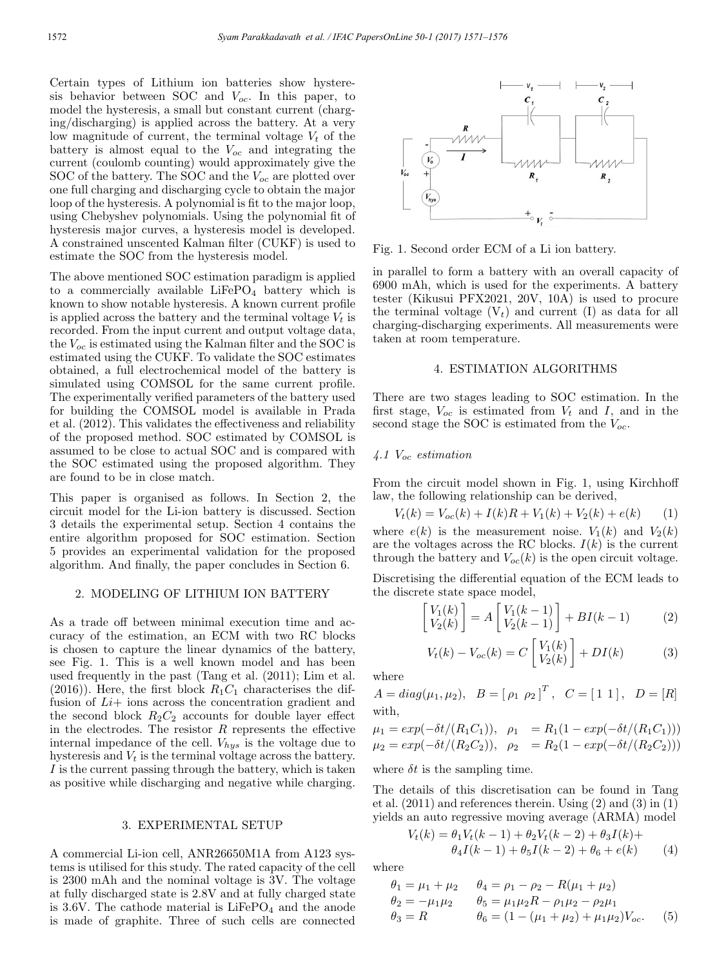Certain types of Lithium ion batteries show hysteresis behavior between SOC and  $V_{oc}$ . In this paper, to model the hysteresis, a small but constant current (charging/discharging) is applied across the battery. At a very low magnitude of current, the terminal voltage  $V_t$  of the battery is almost equal to the  $V_{oc}$  and integrating the current (coulomb counting) would approximately give the SOC of the battery. The SOC and the  $V_{oc}$  are plotted over one full charging and discharging cycle to obtain the major loop of the hysteresis. A polynomial is fit to the major loop, using Chebyshev polynomials. Using the polynomial fit of hysteresis major curves, a hysteresis model is developed. A constrained unscented Kalman filter (CUKF) is used to estimate the SOC from the hysteresis model.

The above mentioned SOC estimation paradigm is applied to a commercially available  $LiFePO<sub>4</sub>$  battery which is known to show notable hysteresis. A known current profile is applied across the battery and the terminal voltage  $V_t$  is recorded. From the input current and output voltage data, the  $V_{oc}$  is estimated using the Kalman filter and the SOC is estimated using the CUKF. To validate the SOC estimates obtained, a full electrochemical model of the battery is simulated using COMSOL for the same current profile. The experimentally verified parameters of the battery used for building the COMSOL model is available in Prada et al. (2012). This validates the effectiveness and reliability of the proposed method. SOC estimated by COMSOL is assumed to be close to actual SOC and is compared with the SOC estimated using the proposed algorithm. They are found to be in close match.

This paper is organised as follows. In Section 2, the circuit model for the Li-ion battery is discussed. Section 3 details the experimental setup. Section 4 contains the entire algorithm proposed for SOC estimation. Section 5 provides an experimental validation for the proposed algorithm. And finally, the paper concludes in Section 6.

#### 2. MODELING OF LITHIUM ION BATTERY

As a trade off between minimal execution time and accuracy of the estimation, an ECM with two RC blocks is chosen to capture the linear dynamics of the battery, see Fig. 1. This is a well known model and has been used frequently in the past (Tang et al. (2011); Lim et al.  $(2016)$ . Here, the first block  $R_1C_1$  characterises the diffusion of  $Li$  + ions across the concentration gradient and the second block  $R_2C_2$  accounts for double layer effect in the electrodes. The resistor  $R$  represents the effective internal impedance of the cell.  $V_{hys}$  is the voltage due to hysteresis and  $V_t$  is the terminal voltage across the battery. I is the current passing through the battery, which is taken as positive while discharging and negative while charging.

#### 3. EXPERIMENTAL SETUP

A commercial Li-ion cell, ANR26650M1A from A123 systems is utilised for this study. The rated capacity of the cell is 2300 mAh and the nominal voltage is 3V. The voltage at fully discharged state is 2.8V and at fully charged state is 3.6V. The cathode material is  $LiFePO<sub>4</sub>$  and the anode is made of graphite. Three of such cells are connected



Fig. 1. Second order ECM of a Li ion battery.

in parallel to form a battery with an overall capacity of 6900 mAh, which is used for the experiments. A battery tester (Kikusui PFX2021, 20V, 10A) is used to procure the terminal voltage  $(V_t)$  and current (I) as data for all charging-discharging experiments. All measurements were taken at room temperature.

#### 4. ESTIMATION ALGORITHMS

There are two stages leading to SOC estimation. In the first stage,  $V_{oc}$  is estimated from  $V_t$  and  $I$ , and in the second stage the SOC is estimated from the  $V_{oc}$ .

## 4.1  $V_{oc}$  estimation

From the circuit model shown in Fig. 1, using Kirchhoff law, the following relationship can be derived,

$$
V_t(k) = V_{oc}(k) + I(k)R + V_1(k) + V_2(k) + e(k)
$$
 (1)

where  $e(k)$  is the measurement noise.  $V_1(k)$  and  $V_2(k)$ are the voltages across the RC blocks.  $I(k)$  is the current through the battery and  $V_{oc}(k)$  is the open circuit voltage.

Discretising the differential equation of the ECM leads to the discrete state space model,

$$
\begin{bmatrix} V_1(k) \\ V_2(k) \end{bmatrix} = A \begin{bmatrix} V_1(k-1) \\ V_2(k-1) \end{bmatrix} + BI(k-1) \tag{2}
$$

$$
V_t(k) - V_{oc}(k) = C \begin{bmatrix} V_1(k) \\ V_2(k) \end{bmatrix} + DI(k)
$$
 (3)

where

$$
A = diag(\mu_1, \mu_2), \quad B = [\rho_1 \ \rho_2]^T, \quad C = [1 \ 1], \quad D = [R]
$$
  
with,

$$
\mu_1 = exp(-\delta t/(R_1 C_1)), \quad \rho_1 = R_1(1 - exp(-\delta t/(R_1 C_1)))
$$
  
\n
$$
\mu_2 = exp(-\delta t/(R_2 C_2)), \quad \rho_2 = R_2(1 - exp(-\delta t/(R_2 C_2)))
$$

where  $\delta t$  is the sampling time.

The details of this discretisation can be found in Tang et al. (2011) and references therein. Using (2) and (3) in (1) yields an auto regressive moving average (ARMA) model

$$
V_t(k) = \theta_1 V_t(k-1) + \theta_2 V_t(k-2) + \theta_3 I(k) +
$$
  
\n
$$
\theta_4 I(k-1) + \theta_5 I(k-2) + \theta_6 + e(k)
$$
 (4)

where

$$
\theta_1 = \mu_1 + \mu_2 \qquad \theta_4 = \rho_1 - \rho_2 - R(\mu_1 + \mu_2)
$$
  
\n
$$
\theta_2 = -\mu_1 \mu_2 \qquad \theta_5 = \mu_1 \mu_2 R - \rho_1 \mu_2 - \rho_2 \mu_1
$$
  
\n
$$
\theta_3 = R \qquad \theta_6 = (1 - (\mu_1 + \mu_2) + \mu_1 \mu_2)V_{oc}.
$$
 (5)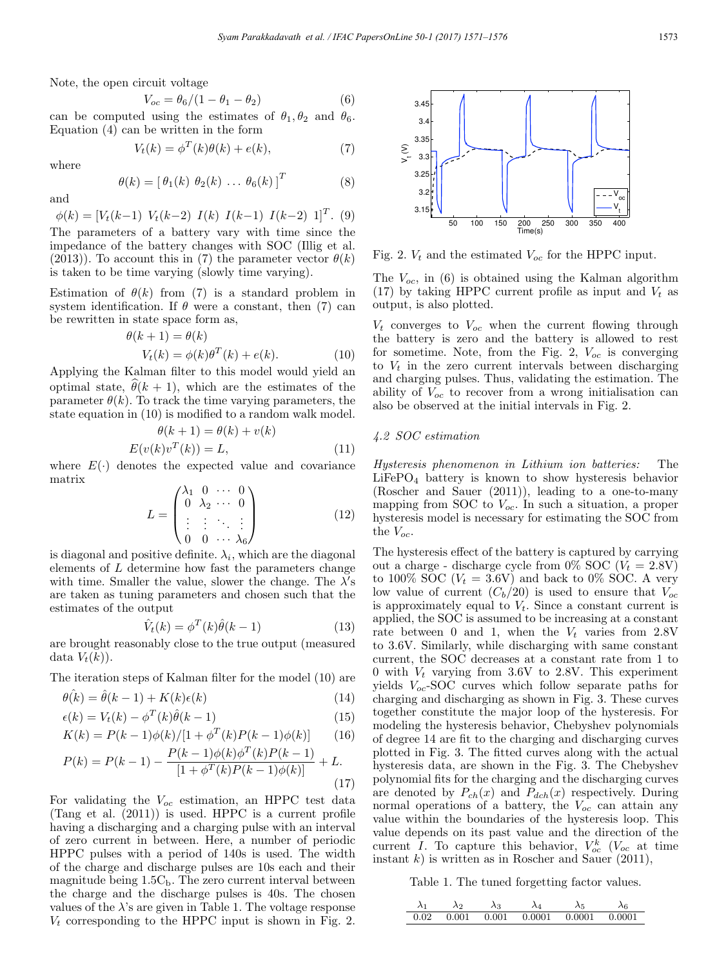Note, the open circuit voltage

$$
V_{oc} = \theta_6 / (1 - \theta_1 - \theta_2) \tag{6}
$$

can be computed using the estimates of  $\theta_1, \theta_2$  and  $\theta_6$ . Equation  $(4)$  can be written in the form

$$
V_t(k) = \phi^T(k)\theta(k) + e(k),\tag{7}
$$

where

$$
\theta(k) = \left[\begin{array}{ccc} \theta_1(k) & \theta_2(k) & \dots & \theta_6(k) \end{array}\right]^T \tag{8}
$$

and

 $\phi(k)=[V_t(k-1) V_t(k-2) I(k) I(k-1) I(k-2) I]^T$ . (9) The parameters of a battery vary with time since the impedance of the battery changes with SOC (Illig et al. (2013)). To account this in (7) the parameter vector  $\theta(k)$ is taken to be time varying (slowly time varying).

Estimation of  $\theta(k)$  from (7) is a standard problem in system identification. If  $\theta$  were a constant, then (7) can be rewritten in state space form as,

$$
\theta(k+1) = \theta(k)
$$
  
 
$$
V_t(k) = \phi(k)\theta^T(k) + e(k).
$$
 (10)

Applying the Kalman filter to this model would yield an optimal state,  $\theta(k+1)$ , which are the estimates of the parameter  $\theta(k)$ . To track the time varying parameters, the state equation in (10) is modified to a random walk model.

$$
\theta(k+1) = \theta(k) + v(k)
$$
  

$$
E(v(k)v^{T}(k)) = L,
$$
 (11)

where  $E(\cdot)$  denotes the expected value and covariance matrix

$$
L = \begin{pmatrix} \lambda_1 & 0 & \cdots & 0 \\ 0 & \lambda_2 & \cdots & 0 \\ \vdots & \vdots & \ddots & \vdots \\ 0 & 0 & \cdots & \lambda_6 \end{pmatrix} \tag{12}
$$

is diagonal and positive definite.  $\lambda_i$ , which are the diagonal elements of L determine how fast the parameters change with time. Smaller the value, slower the change. The  $\lambda$ 's are taken as tuning parameters and chosen such that the estimates of the output

$$
\hat{V}_t(k) = \phi^T(k)\hat{\theta}(k-1)
$$
\n(13)

are brought reasonably close to the true output (measured data  $V_t(k)$ ).

The iteration steps of Kalman filter for the model (10) are

$$
\theta(k) = \hat{\theta}(k-1) + K(k)\epsilon(k) \tag{14}
$$

$$
\epsilon(k) = V_t(k) - \phi^T(k)\hat{\theta}(k-1)
$$
\n(15)

$$
K(k) = P(k-1)\phi(k)/[1 + \phi^{T}(k)P(k-1)\phi(k)] \qquad (16)
$$

$$
P(k) = P(k-1) - \frac{P(k-1)\phi(k)\phi^{T}(k)P(k-1)}{[1+\phi^{T}(k)P(k-1)\phi(k)]} + L.
$$
\n(17)

For validating the  $V_{oc}$  estimation, an HPPC test data (Tang et al. (2011)) is used. HPPC is a current profile having a discharging and a charging pulse with an interval of zero current in between. Here, a number of periodic HPPC pulses with a period of 140s is used. The width of the charge and discharge pulses are 10s each and their magnitude being  $1.5C_b$ . The zero current interval between the charge and the discharge pulses is 40s. The chosen values of the  $\lambda$ 's are given in Table 1. The voltage response  $V_t$  corresponding to the HPPC input is shown in Fig. 2.



Fig. 2.  $V_t$  and the estimated  $V_{oc}$  for the HPPC input.

The  $V_{oc}$ , in (6) is obtained using the Kalman algorithm (17) by taking HPPC current profile as input and  $V_t$  as output, is also plotted.

 $V_t$  converges to  $V_{oc}$  when the current flowing through the battery is zero and the battery is allowed to rest for sometime. Note, from the Fig. 2,  $V_{oc}$  is converging to  $V_t$  in the zero current intervals between discharging and charging pulses. Thus, validating the estimation. The ability of  $V_{oc}$  to recover from a wrong initialisation can also be observed at the initial intervals in Fig. 2.

#### 4.2 SOC estimation

Hysteresis phenomenon in Lithium ion batteries: The LiFePO<sup>4</sup> battery is known to show hysteresis behavior (Roscher and Sauer (2011)), leading to a one-to-many mapping from SOC to  $V_{oc}$ . In such a situation, a proper hysteresis model is necessary for estimating the SOC from the  $V_{oc}$ .

The hysteresis effect of the battery is captured by carrying out a charge - discharge cycle from 0% SOC  $(V_t = 2.8V)$ to 100% SOC ( $V_t = 3.6$ V) and back to 0% SOC. A very low value of current  $(C_b/20)$  is used to ensure that  $V_{oc}$ is approximately equal to  $V_t$ . Since a constant current is applied, the SOC is assumed to be increasing at a constant rate between 0 and 1, when the  $V_t$  varies from 2.8V to 3.6V. Similarly, while discharging with same constant current, the SOC decreases at a constant rate from 1 to 0 with  $V_t$  varying from 3.6V to 2.8V. This experiment yields  $V_{oc}$ -SOC curves which follow separate paths for charging and discharging as shown in Fig. 3. These curves together constitute the major loop of the hysteresis. For modeling the hysteresis behavior, Chebyshev polynomials of degree 14 are fit to the charging and discharging curves plotted in Fig. 3. The fitted curves along with the actual hysteresis data, are shown in the Fig. 3. The Chebyshev polynomial fits for the charging and the discharging curves are denoted by  $P_{ch}(x)$  and  $P_{dch}(x)$  respectively. During normal operations of a battery, the  $V_{oc}$  can attain any value within the boundaries of the hysteresis loop. This value depends on its past value and the direction of the current I. To capture this behavior,  $V_{oc}^k$  ( $V_{oc}$  at time instant k) is written as in Roscher and Sauer  $(2011)$ ,

Table 1. The tuned forgetting factor values.

$$
\begin{array}{ccccccccc}\n\lambda_1 & \lambda_2 & \lambda_3 & \lambda_4 & \lambda_5 & \lambda_6 \\
\hline\n0.02 & 0.001 & 0.001 & 0.0001 & 0.0001 & 0.0001\n\end{array}
$$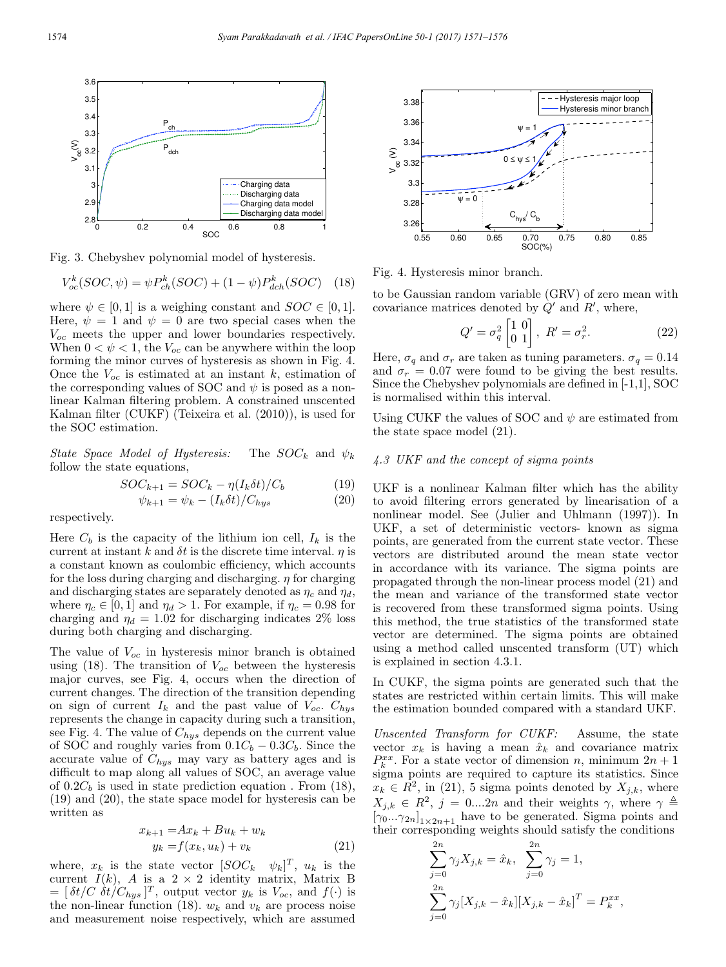

Fig. 3. Chebyshev polynomial model of hysteresis.

$$
V_{oc}^{k}(SOC, \psi) = \psi P_{ch}^{k}(SOC) + (1 - \psi) P_{dch}^{k}(SOC)
$$
 (18)

where  $\psi \in [0, 1]$  is a weighing constant and  $SOC \in [0, 1]$ . Here,  $\psi = 1$  and  $\psi = 0$  are two special cases when the  $V_{oc}$  meets the upper and lower boundaries respectively. When  $0 < \psi < 1$ , the  $V_{oc}$  can be anywhere within the loop forming the minor curves of hysteresis as shown in Fig. 4. Once the  $V_{oc}$  is estimated at an instant k, estimation of the corresponding values of SOC and  $\psi$  is posed as a nonlinear Kalman filtering problem. A constrained unscented Kalman filter (CUKF) (Teixeira et al. (2010)), is used for the SOC estimation.

State Space Model of Hysteresis: The  $SOC_k$  and  $\psi_k$ follow the state equations,

$$
SOC_{k+1} = SOC_k - \eta (I_k \delta t) / C_b \tag{19}
$$

$$
\psi_{k+1} = \psi_k - (I_k \delta t) / C_{hys} \tag{20}
$$

respectively.

Here  $C_b$  is the capacity of the lithium ion cell,  $I_k$  is the current at instant k and  $\delta t$  is the discrete time interval.  $\eta$  is a constant known as coulombic efficiency, which accounts for the loss during charging and discharging.  $\eta$  for charging and discharging states are separately denoted as  $\eta_c$  and  $\eta_d$ , where  $\eta_c \in [0, 1]$  and  $\eta_d > 1$ . For example, if  $\eta_c = 0.98$  for charging and  $\eta_d = 1.02$  for discharging indicates 2% loss during both charging and discharging.

The value of  $V_{oc}$  in hysteresis minor branch is obtained using (18). The transition of  $V_{oc}$  between the hysteresis major curves, see Fig. 4, occurs when the direction of current changes. The direction of the transition depending on sign of current  $I_k$  and the past value of  $V_{oc}$ .  $C_{hys}$ represents the change in capacity during such a transition, see Fig. 4. The value of  $C_{hys}$  depends on the current value of SOC and roughly varies from  $0.1C_b - 0.3C_b$ . Since the accurate value of  $C_{hys}$  may vary as battery ages and is difficult to map along all values of SOC, an average value of  $0.2C_b$  is used in state prediction equation. From (18), (19) and (20), the state space model for hysteresis can be written as

$$
x_{k+1} = Ax_k + Bu_k + w_k
$$
  

$$
y_k = f(x_k, u_k) + v_k
$$
 (21)

where,  $x_k$  is the state vector  $[SOC_k \quad \psi_k]^T$ ,  $u_k$  is the current  $I(k)$ , A is a  $2 \times 2$  identity matrix, Matrix B  $=[\delta t/C \delta t/C_{hys}]^T$ , output vector  $y_k$  is  $V_{oc}$ , and  $f(\cdot)$  is the non-linear function (18).  $w_k$  and  $v_k$  are process noise and measurement noise respectively, which are assumed



Fig. 4. Hysteresis minor branch.

to be Gaussian random variable (GRV) of zero mean with covariance matrices denoted by  $Q'$  and  $R'$ , where,

$$
Q' = \sigma_q^2 \begin{bmatrix} 1 & 0 \\ 0 & 1 \end{bmatrix}, \ R' = \sigma_r^2.
$$
 (22)

Here,  $\sigma_q$  and  $\sigma_r$  are taken as tuning parameters.  $\sigma_q = 0.14$ and  $\sigma_r = 0.07$  were found to be giving the best results. Since the Chebyshev polynomials are defined in [-1,1], SOC is normalised within this interval.

Using CUKF the values of SOC and  $\psi$  are estimated from the state space model (21).

## 4.3 UKF and the concept of sigma points

UKF is a nonlinear Kalman filter which has the ability to avoid filtering errors generated by linearisation of a nonlinear model. See (Julier and Uhlmann (1997)). In UKF, a set of deterministic vectors- known as sigma points, are generated from the current state vector. These vectors are distributed around the mean state vector in accordance with its variance. The sigma points are propagated through the non-linear process model (21) and the mean and variance of the transformed state vector is recovered from these transformed sigma points. Using this method, the true statistics of the transformed state vector are determined. The sigma points are obtained using a method called unscented transform (UT) which is explained in section 4.3.1.

In CUKF, the sigma points are generated such that the states are restricted within certain limits. This will make the estimation bounded compared with a standard UKF.

Unscented Transform for CUKF: Assume, the state vector  $x_k$  is having a mean  $\hat{x}_k$  and covariance matrix  $P_k^{xx}$ . For a state vector of dimension n, minimum  $2n + 1$ sigma points are required to capture its statistics. Since  $x_k \in R^2$ , in (21), 5 sigma points denoted by  $X_{j,k}$ , where  $X_{j,k} \in R^2$ ,  $j = 0....2n$  and their weights  $\gamma$ , where  $\gamma \triangleq$  $[\gamma_0...\gamma_{2n}]_{1\times 2n+1}$  have to be generated. Sigma points and their corresponding weights should satisfy the conditions

$$
\sum_{j=0}^{2n} \gamma_j X_{j,k} = \hat{x}_k, \quad \sum_{j=0}^{2n} \gamma_j = 1,
$$
  

$$
\sum_{j=0}^{2n} \gamma_j [X_{j,k} - \hat{x}_k] [X_{j,k} - \hat{x}_k]^T = P_k^{xx},
$$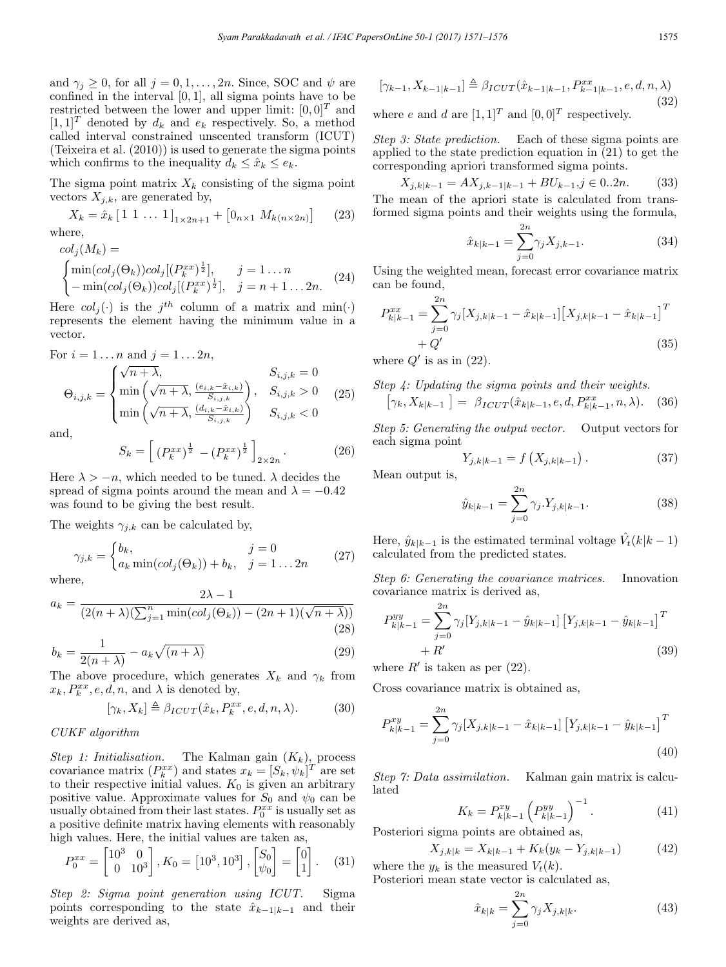and  $\gamma_j \geq 0$ , for all  $j = 0, 1, \ldots, 2n$ . Since, SOC and  $\psi$  are confined in the interval  $[0, 1]$ , all sigma points have to be restricted between the lower and upper limit:  $[0, 0]^T$  and  $[1, 1]^T$  denoted by  $d_k$  and  $e_k$  respectively. So, a method called interval constrained unscented transform (ICUT) (Teixeira et al. (2010)) is used to generate the sigma points which confirms to the inequality  $d_k \leq \hat{x}_k \leq e_k$ .

The sigma point matrix  $X_k$  consisting of the sigma point vectors  $X_{i,k}$ , are generated by,

 $X_k = \hat{x}_k \begin{bmatrix} 1 & 1 & \dots & 1 \end{bmatrix}_{1 \times 2n+1} + \begin{bmatrix} 0_{n \times 1} & M_{k(n \times 2n)} \end{bmatrix}$  (23) where,

$$
col_j(M_k) =
$$
  
\n
$$
\begin{cases}\n\min(col_j(\Theta_k))col_j[(P_k^{xx})^{\frac{1}{2}}], & j = 1...n \\
-\min(col_j(\Theta_k))col_j[(P_k^{xx})^{\frac{1}{2}}], & j = n+1...2n.\n\end{cases}
$$
\n(24)

Here  $col_j(\cdot)$  is the  $j^{th}$  column of a matrix and min( $\cdot$ ) represents the element having the minimum value in a vector.

For 
$$
i = 1...n
$$
 and  $j = 1...2n$ ,  
\n
$$
\Theta_{i,j,k} = \begin{cases}\n\sqrt{n + \lambda}, & S_{i,j,k} = 0 \\
\min\left(\sqrt{n + \lambda}, \frac{(e_{i,k} - \hat{x}_{i,k})}{S_{i,j,k}}\right), & S_{i,j,k} > 0 \\
\min\left(\sqrt{n + \lambda}, \frac{(d_{i,k} - \hat{x}_{i,k})}{S_{i,j,k}}\right) & S_{i,j,k} < 0\n\end{cases}
$$
(25)

and,

$$
S_k = \left[ (P_k^{xx})^{\frac{1}{2}} - (P_k^{xx})^{\frac{1}{2}} \right]_{2 \times 2n}.
$$
 (26)

Here  $\lambda > -n$ , which needed to be tuned.  $\lambda$  decides the spread of sigma points around the mean and  $\lambda = -0.42$ was found to be giving the best result.

The weights  $\gamma_{j,k}$  can be calculated by,

$$
\gamma_{j,k} = \begin{cases} b_k, & j = 0\\ a_k \min(col_j(\Theta_k)) + b_k, & j = 1 \dots 2n \end{cases}
$$
 (27)

where,

$$
a_k = \frac{2\lambda - 1}{(2(n+\lambda)(\sum_{j=1}^n \min(col_j(\Theta_k)) - (2n+1)(\sqrt{n+\lambda}))}
$$
\n(28)

$$
b_k = \frac{1}{2(n+\lambda)} - a_k \sqrt{(n+\lambda)}\tag{29}
$$

The above procedure, which generates  $X_k$  and  $\gamma_k$  from  $x_k, P_k^{xx}, e, d, n$ , and  $\lambda$  is denoted by,

$$
[\gamma_k, X_k] \triangleq \beta_{ICUT}(\hat{x}_k, P_k^{xx}, e, d, n, \lambda).
$$
 (30)

## CUKF algorithm

Step 1: Initialisation. The Kalman gain  $(K_k)$ , process covariance matrix  $(P_k^{xx})$  and states  $x_k = [S_k, \psi_k]^T$  are set to their respective initial values.  $K_0$  is given an arbitrary positive value. Approximate values for  $S_0$  and  $\psi_0$  can be usually obtained from their last states.  $P_0^{xx}$  is usually set as a positive definite matrix having elements with reasonably high values. Here, the initial values are taken as,

$$
P_0^{xx} = \begin{bmatrix} 10^3 & 0 \\ 0 & 10^3 \end{bmatrix}, K_0 = \begin{bmatrix} 10^3, 10^3 \end{bmatrix}, \begin{bmatrix} S_0 \\ \psi_0 \end{bmatrix} = \begin{bmatrix} 0 \\ 1 \end{bmatrix}. \quad (31)
$$

Step 2: Sigma point generation using ICUT. Sigma points corresponding to the state  $\hat{x}_{k-1|k-1}$  and their weights are derived as,

$$
[\gamma_{k-1}, X_{k-1|k-1}] \triangleq \beta_{ICUT}(\hat{x}_{k-1|k-1}, P_{k-1|k-1}^{xx}, e, d, n, \lambda)
$$
\n(32)

where e and d are  $[1, 1]^T$  and  $[0, 0]^T$  respectively.

Step 3: State prediction. Each of these sigma points are applied to the state prediction equation in (21) to get the corresponding apriori transformed sigma points.

$$
X_{j,k|k-1} = AX_{j,k-1|k-1} + BU_{k-1,j} \in 0..2n.
$$
 (33)

The mean of the apriori state is calculated from transformed sigma points and their weights using the formula,

$$
\hat{x}_{k|k-1} = \sum_{j=0}^{2n} \gamma_j X_{j,k-1}.
$$
\n(34)

Using the weighted mean, forecast error covariance matrix can be found,

$$
P_{k|k-1}^{xx} = \sum_{j=0}^{2n} \gamma_j [X_{j,k|k-1} - \hat{x}_{k|k-1}] [X_{j,k|k-1} - \hat{x}_{k|k-1}]^T
$$
  
+  $Q'$  (35)

where  $Q'$  is as in (22).

Step 4: Updating the sigma points and their weights.  
\n
$$
[\gamma_k, X_{k|k-1}] = \beta_{ICUT}(\hat{x}_{k|k-1}, e, d, P_{k|k-1}^{xx}, n, \lambda).
$$
 (36)

Step 5: Generating the output vector. Output vectors for each sigma point

$$
Y_{j,k|k-1} = f\left(X_{j,k|k-1}\right). \tag{37}
$$

Mean output is,

$$
\hat{y}_{k|k-1} = \sum_{j=0}^{2n} \gamma_j Y_{j,k|k-1}.
$$
\n(38)

Here,  $\hat{y}_{k|k-1}$  is the estimated terminal voltage  $\hat{V}_t(k|k-1)$ calculated from the predicted states.

Step 6: Generating the covariance matrices. Innovation covariance matrix is derived as,

$$
P_{k|k-1}^{yy} = \sum_{j=0}^{2n} \gamma_j [Y_{j,k|k-1} - \hat{y}_{k|k-1}] [Y_{j,k|k-1} - \hat{y}_{k|k-1}]^T
$$
  
+  $R'$  (39)

where  $R'$  is taken as per (22).

Cross covariance matrix is obtained as,

$$
P_{k|k-1}^{xy} = \sum_{j=0}^{2n} \gamma_j [X_{j,k|k-1} - \hat{x}_{k|k-1}] [Y_{j,k|k-1} - \hat{y}_{k|k-1}]^T
$$
\n(40)

Step 7: Data assimilation. Kalman gain matrix is calculated

$$
K_k = P_{k|k-1}^{xy} \left( P_{k|k-1}^{yy} \right)^{-1} . \tag{41}
$$

Posteriori sigma points are obtained as,

$$
X_{j,k|k} = X_{k|k-1} + K_k(y_k - Y_{j,k|k-1})
$$
\n(42)

where the  $y_k$  is the measured  $V_t(k)$ . Posteriori mean state vector is calculated as,

$$
\hat{x}_{k|k} = \sum_{j=0}^{2n} \gamma_j X_{j,k|k}.
$$
\n(43)